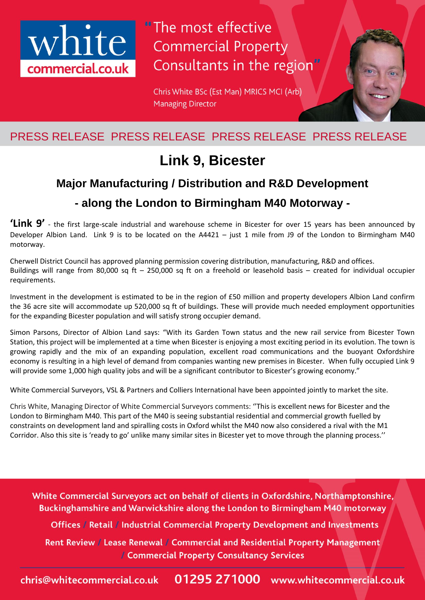

"The most effective **Commercial Property** Consultants in the region"

Chris White BSc (Est Man) MRICS MCI (Arb) **Managing Director** 

### PRESS RELEASE PRESS RELEASE PRESS RELEASE PRESS RELEASE

# **Link 9, Bicester**

## **Major Manufacturing / Distribution and R&D Development - along the London to Birmingham M40 Motorway -**

**'Link 9'** - the first large-scale industrial and warehouse scheme in Bicester for over 15 years has been announced by Developer Albion Land. Link 9 is to be located on the A4421 – just 1 mile from J9 of the London to Birmingham M40 motorway.

Cherwell District Council has approved planning permission covering distribution, manufacturing, R&D and offices. Buildings will range from 80,000 sq ft – 250,000 sq ft on a freehold or leasehold basis – created for individual occupier requirements.

Investment in the development is estimated to be in the region of £50 million and property developers Albion Land confirm the 36 acre site will accommodate up 520,000 sq ft of buildings. These will provide much needed employment opportunities for the expanding Bicester population and will satisfy strong occupier demand.

Simon Parsons, Director of Albion Land says: "With its Garden Town status and the new rail service from Bicester Town Station, this project will be implemented at a time when Bicester is enjoying a most exciting period in its evolution. The town is growing rapidly and the mix of an expanding population, excellent road communications and the buoyant Oxfordshire economy is resulting in a high level of demand from companies wanting new premises in Bicester. When fully occupied Link 9 will provide some 1,000 high quality jobs and will be a significant contributor to Bicester's growing economy."

White Commercial Surveyors, VSL & Partners and Colliers International have been appointed jointly to market the site.

Chris White, Managing Director of White Commercial Surveyors comments: ''This is excellent news for Bicester and the London to Birmingham M40. This part of the M40 is seeing substantial residential and commercial growth fuelled by constraints on development land and spiralling costs in Oxford whilst the M40 now also considered a rival with the M1 Corridor. Also this site is 'ready to go' unlike many similar sites in Bicester yet to move through the planning process.''

White Commercial Surveyors act on behalf of clients in Oxfordshire, Northamptonshire, Buckinghamshire and Warwickshire along the London to Birmingham M40 motorway

Offices / Retail / Industrial Commercial Property Development and Investments

Rent Review / Lease Renewal / Commercial and Residential Property Management / Commercial Property Consultancy Services